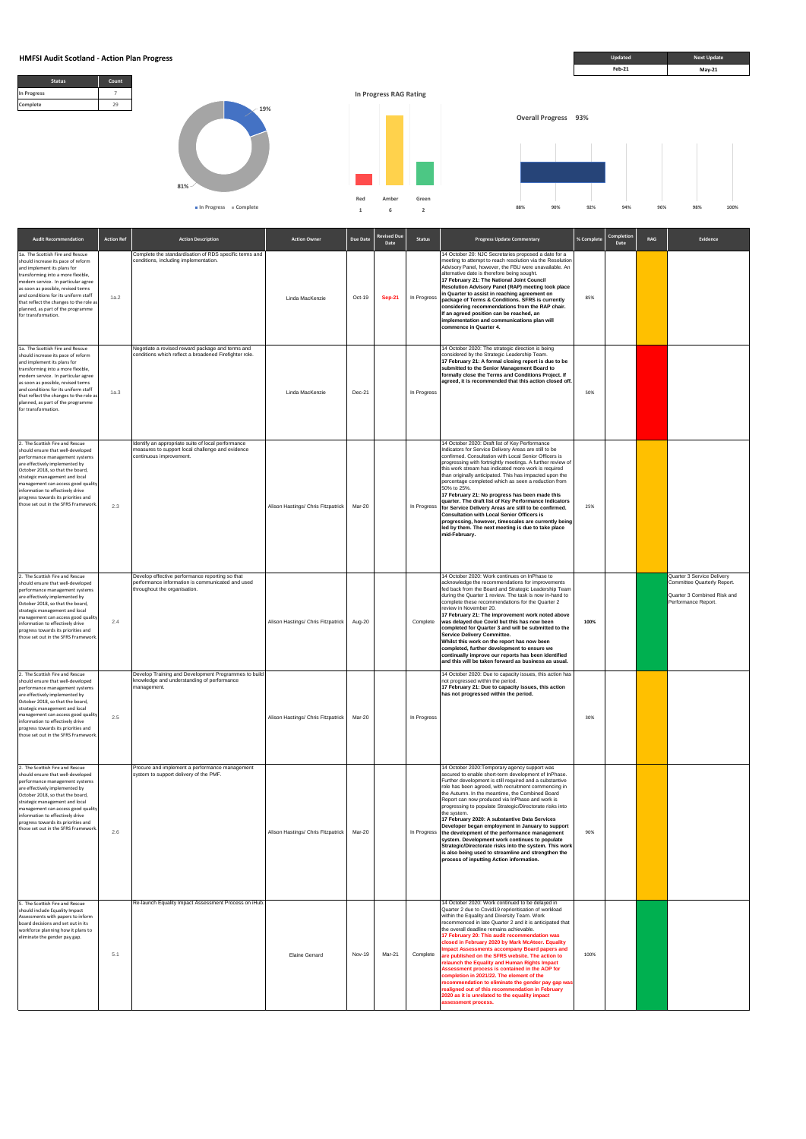

| <b>Audit Recommendation</b>                                                                                                                                                                                                                                                                                                                                             | <b>Action Ref</b> | <b>Action Description</b>                                                                                                           | <b>Action Owner</b>                | Due Date | Revised Due<br>Date | <b>Status</b> | <b>Progress Update Commentary</b>                                                                                                                                                                                                                                                                                                                                                                                                                                                                                                                                                                                                                                                                                                                                               | % Complete | Completion<br>Date | RAG | Evidence                                                                                                        |
|-------------------------------------------------------------------------------------------------------------------------------------------------------------------------------------------------------------------------------------------------------------------------------------------------------------------------------------------------------------------------|-------------------|-------------------------------------------------------------------------------------------------------------------------------------|------------------------------------|----------|---------------------|---------------|---------------------------------------------------------------------------------------------------------------------------------------------------------------------------------------------------------------------------------------------------------------------------------------------------------------------------------------------------------------------------------------------------------------------------------------------------------------------------------------------------------------------------------------------------------------------------------------------------------------------------------------------------------------------------------------------------------------------------------------------------------------------------------|------------|--------------------|-----|-----------------------------------------------------------------------------------------------------------------|
| 1a. The Scottish Fire and Rescue<br>should increase its pace of reform<br>and implement its plans for<br>transforming into a more flexible,<br>modern service. In particular agree<br>as soon as possible, revised terms<br>and conditions for its uniform staff<br>that reflect the changes to the role as<br>planned, as part of the programme<br>for transformation. | 1a.2              | Complete the standardisation of RDS specific terms and<br>conditions, including implementation.                                     | Linda MacKenzie                    | Oct-19   | <b>Sep-21</b>       | In Progress   | 14 October 20: NJC Secretaries proposed a date for a<br>meeting to attempt to reach resolution via the Resolution<br>Advisory Panel, however, the FBU were unavailable. An<br>alternative date is therefore being sought.<br>17 February 21: The National Joint Council<br>Resolution Advisory Panel (RAP) meeting took place<br>in Quarter to assist in reaching agreement on<br>package of Terms & Conditions. SFRS is currently<br>considering recommendations from the RAP chair.<br>If an agreed position can be reached, an<br>implementation and communications plan will<br>commence in Quarter 4.                                                                                                                                                                      | 85%        |                    |     |                                                                                                                 |
| 1a. The Scottish Fire and Rescue<br>should increase its pace of reform<br>and implement its plans for<br>transforming into a more flexible,<br>modern service. In particular agree<br>as soon as possible, revised terms<br>and conditions for its uniform staff<br>that reflect the changes to the role as<br>planned, as part of the programme<br>for transformation. | 1a.3              | Negotiate a revised reward package and terms and<br>conditions which reflect a broadened Firefighter role.                          | Linda MacKenzie                    | Dec-21   |                     | In Progress   | 14 October 2020: The strategic direction is being<br>considered by the Strategic Leadership Team.<br>17 February 21: A formal closing report is due to be<br>submitted to the Senior Management Board to<br>formally close the Terms and Conditions Project. If<br>agreed, it is recommended that this action closed off.                                                                                                                                                                                                                                                                                                                                                                                                                                                       | 50%        |                    |     |                                                                                                                 |
| 2. The Scottish Fire and Rescue<br>should ensure that well-developed<br>performance management systems<br>are effectively implemented by<br>October 2018, so that the board,<br>strategic management and local<br>management can access good quality<br>information to effectively drive<br>progress towards its priorities and<br>those set out in the SFRS Framework. | 2.3               | Identify an appropriate suite of local performance<br>measures to support local challenge and evidence<br>continuous improvement.   | Alison Hastings/ Chris Fitzpatrick | Mar-20   |                     | In Progress   | 14 October 2020: Draft list of Key Performance<br>Indicators for Service Delivery Areas are still to be<br>confirmed. Consultation with Local Senior Officers is<br>progressing with fortnightly meetings. A further review of<br>this work stream has indicated more work is required<br>than originally anticipated. This has impacted upon the<br>percentage completed which as seen a reduction from<br>50% to 25%.<br>17 February 21: No progress has been made this<br>quarter. The draft list of Key Performance Indicators<br>for Service Delivery Areas are still to be confirmed.<br><b>Consultation with Local Senior Officers is</b><br>progressing, however, timescales are currently being<br>led by them. The next meeting is due to take place<br>mid-February. | 25%        |                    |     |                                                                                                                 |
| 2. The Scottish Fire and Rescue<br>should ensure that well-developed<br>performance management systems<br>are effectively implemented by<br>October 2018, so that the board,<br>strategic management and local<br>management can access good quality<br>information to effectively drive<br>progress towards its priorities and<br>those set out in the SFRS Framework. | 2.4               | Develop effective performance reporting so that<br>performance information is communicated and used<br>throughout the organisation. | Alison Hastings/ Chris Fitzpatrick | Aug-20   |                     | Complete      | 14 October 2020: Work continues on InPhase to<br>acknowledge the recommendations for improvements<br>fed back from the Board and Strategic Leadership Team<br>during the Quarter 1 review. The task is now in-hand to<br>complete these recommendations for the Quarter 2<br>review in November 20.<br>17 February 21: The improvement work noted above<br>was delayed due Covid but this has now been<br>completed for Quarter 3 and will be submitted to the<br><b>Service Delivery Committee.</b><br>Whilst this work on the report has now been<br>completed, further development to ensure we<br>continually improve our reports has been identified<br>and this will be taken forward as business as usual.                                                               | 100%       |                    |     | Quarter 3 Service Delivery<br>Committee Quarterly Report.<br>Quarter 3 Combined Risk and<br>Performance Report. |
| 2. The Scottish Fire and Rescue<br>should ensure that well-developed<br>performance management systems<br>are effectively implemented by<br>October 2018, so that the board,<br>strategic management and local<br>management can access good quality<br>information to effectively drive<br>progress towards its priorities and<br>those set out in the SFRS Framework. | 2.5               | Develop Training and Development Programmes to build<br>knowledge and understanding of performance<br>management.                   | Alison Hastings/ Chris Fitzpatrick | Mar-20   |                     | In Progress   | 14 October 2020: Due to capacity issues, this action has<br>not progressed within the period.<br>17 February 21: Due to capacity issues, this action<br>has not progressed within the period.                                                                                                                                                                                                                                                                                                                                                                                                                                                                                                                                                                                   | 30%        |                    |     |                                                                                                                 |
| 2. The Scottish Fire and Rescue<br>should ensure that well-developed<br>performance management systems<br>are effectively implemented by<br>October 2018, so that the board,<br>strategic management and local<br>management can access good quality<br>information to effectively drive<br>progress towards its priorities and<br>those set out in the SFRS Framework. | 2.6               | Procure and implement a performance management<br>system to support delivery of the PMF.                                            | Alison Hastings/ Chris Fitzpatrick | Mar-20   |                     | In Progress   | 14 October 2020: Temporary agency support was<br>secured to enable short-term development of InPhase.<br>Further development is still required and a substantive<br>role has been agreed, with recruitment commencing in<br>the Autumn. In the meantime, the Combined Board<br>Report can now produced via InPhase and work is<br>progressing to populate Strategic/Directorate risks into<br>the system.<br>17 February 2020: A substantive Data Services<br>Developer began employment in January to support<br>the development of the performance management<br>system. Development work continues to populate<br>Strategic/Directorate risks into the system. This work<br>is also being used to streamline and strengthen the<br>process of inputting Action information.  | 90%        |                    |     |                                                                                                                 |





**In Progress Complete** 

|                                                                                                                                                                                                                     |     |                                                       |                |               |        |          | process or imputuing Action imprimation.                                                                                                                                                                                                                                                                                                                                                                                                                                                                                                                                                                                                                                                                                                                                                                        |      |  |  |
|---------------------------------------------------------------------------------------------------------------------------------------------------------------------------------------------------------------------|-----|-------------------------------------------------------|----------------|---------------|--------|----------|-----------------------------------------------------------------------------------------------------------------------------------------------------------------------------------------------------------------------------------------------------------------------------------------------------------------------------------------------------------------------------------------------------------------------------------------------------------------------------------------------------------------------------------------------------------------------------------------------------------------------------------------------------------------------------------------------------------------------------------------------------------------------------------------------------------------|------|--|--|
| 5. The Scottish Fire and Rescue<br>should include Equality Impact<br>Assessments with papers to inform<br>board decisions and set out in its<br>workforce planning how it plans to<br>eliminate the gender pay gap. | 5.1 | Re-launch Equality Impact Assessment Process on iHub. | Elaine Gerrard | <b>Nov-19</b> | Mar-21 | Complete | 14 October 2020: Work continued to be delayed in<br>Quarter 2 due to Covid19 reprioritisation of workload<br>within the Equality and Diversity Team. Work<br>recommenced in late Quarter 2 and it is anticipated that<br>the overall deadline remains achievable.<br>17 February 20: This audit recommendation was<br>closed in February 2020 by Mark McAteer. Equality<br>Impact Assessments accompany Board papers and<br>are published on the SFRS website. The action to<br>relaunch the Equality and Human Rights Impact<br>Assessment process is contained in the AOP for<br>completion in 2021/22. The element of the<br>recommendation to eliminate the gender pay gap was<br>realigned out of this recommendation in February<br>2020 as it is unrelated to the equality impact<br>assessment process. | 100% |  |  |

**88% 90% 92% 94% 96% 98% 100%**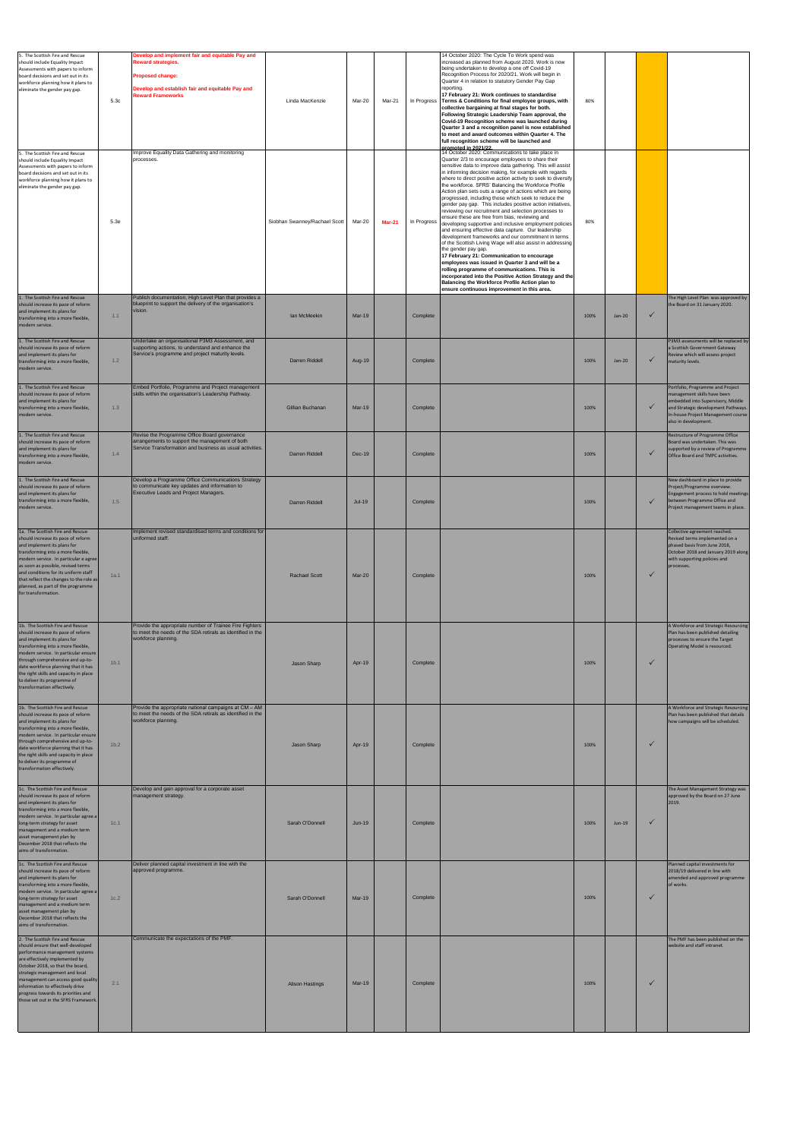| 5. The Scottish Fire and Rescue<br>should include Equality Impact<br>Assessments with papers to inform<br>board decisions and set out in its<br>workforce planning how it plans to<br>eliminate the gender pay gap.<br>5. The Scottish Fire and Rescue<br>should include Equality Impact<br>Assessments with papers to inform<br>board decisions and set out in its       | 5.3c             | Develop and implement fair and equitable Pay and<br><b>Reward strategies.</b><br>Proposed change:<br>Develop and establish fair and equitable Pay and<br><b>Reward Frameworks</b><br>Improve Equality Data Gathering and monitoring<br>processes. | Linda MacKenzie               | Mar-20        | Mar-21        |             | 14 October 2020: The Cycle To Work spend was<br>increased as planned from August 2020. Work is now<br>being undertaken to develop a one off Covid-19<br>Recognition Process for 2020/21. Work will begin in<br>Quarter 4 in relation to statutory Gender Pay Gap<br>reporting.<br>17 February 21: Work continues to standardise<br>In Progress Terms & Conditions for final employee groups, with<br>collective bargaining at final stages for both.<br>Following Strategic Leadership Team approval, the<br>Covid-19 Recognition scheme was launched during<br>Quarter 3 and a recognition panel is now established<br>to meet and award outcomes within Quarter 4. The<br>full recognition scheme will be launched and<br>promoted in 2021/22.<br>14 October 2020: Communications to take place in<br>Quarter 2/3 to encourage employees to share their<br>sensitive data to improve data gathering. This will assist<br>in informing decision making, for example with regards          | 80%  |          |              |                                                                                                                                                                                                           |
|---------------------------------------------------------------------------------------------------------------------------------------------------------------------------------------------------------------------------------------------------------------------------------------------------------------------------------------------------------------------------|------------------|---------------------------------------------------------------------------------------------------------------------------------------------------------------------------------------------------------------------------------------------------|-------------------------------|---------------|---------------|-------------|--------------------------------------------------------------------------------------------------------------------------------------------------------------------------------------------------------------------------------------------------------------------------------------------------------------------------------------------------------------------------------------------------------------------------------------------------------------------------------------------------------------------------------------------------------------------------------------------------------------------------------------------------------------------------------------------------------------------------------------------------------------------------------------------------------------------------------------------------------------------------------------------------------------------------------------------------------------------------------------------|------|----------|--------------|-----------------------------------------------------------------------------------------------------------------------------------------------------------------------------------------------------------|
| workforce planning how it plans to<br>eliminate the gender pay gap.                                                                                                                                                                                                                                                                                                       | 5.3e             |                                                                                                                                                                                                                                                   | Siobhan Swanney/Rachael Scott | Mar-20        | <b>Mar-21</b> | In Progress | where to direct positive action activity to seek to diversify<br>the workforce. SFRS' Balancing the Workforce Profile<br>Action plan sets outs a range of actions which are being<br>progressed, including those which seek to reduce the<br>gender pay gap. This includes positive action initiatives,<br>reviewing our recruitment and selection processes to<br>ensure these are free from bias, reviewing and<br>developing supportive and inclusive employment policies<br>and ensuring effective data capture. Our leadership<br>development frameworks and our commitment in terms<br>of the Scottish Living Wage will also assist in addressing<br>the gender pay gap.<br>17 February 21: Communication to encourage<br>employees was issued in Quarter 3 and will be a<br>rolling programme of communications. This is<br>incorporated into the Positive Action Strategy and the<br>Balancing the Workforce Profile Action plan to<br>ensure continuous improvement in this area. | 80%  |          |              |                                                                                                                                                                                                           |
| 1. The Scottish Fire and Rescue<br>should increase its pace of reform<br>and implement its plans for<br>transforming into a more flexible,<br>modern service.                                                                                                                                                                                                             | 1.1              | Publish documentation, High Level Plan that provides a<br>blueprint to support the delivery of the organisation's<br>vision.                                                                                                                      | lan McMeekin                  | <b>Mar-19</b> |               | Complete    |                                                                                                                                                                                                                                                                                                                                                                                                                                                                                                                                                                                                                                                                                                                                                                                                                                                                                                                                                                                            | 100% | Jan-20   | $\checkmark$ | The High Level Plan was approved by<br>the Board on 31 January 2020.                                                                                                                                      |
| 1. The Scottish Fire and Rescue<br>should increase its pace of reform<br>and implement its plans for<br>transforming into a more flexible,<br>modern service.                                                                                                                                                                                                             | 1.2              | Undertake an organisational P3M3 Assessment, and<br>supporting actions, to understand and enhance the<br>Service's programme and project maturity levels.                                                                                         | Darren Riddell                | Aug-19        |               | Complete    |                                                                                                                                                                                                                                                                                                                                                                                                                                                                                                                                                                                                                                                                                                                                                                                                                                                                                                                                                                                            | 100% | $Jan-20$ | $\checkmark$ | P3M3 assessments will be replaced by<br>a Scottish Government Gateway<br>Review which will assess project<br>maturity levels.                                                                             |
| 1. The Scottish Fire and Rescue<br>should increase its pace of reform<br>and implement its plans for<br>transforming into a more flexible,<br>modern service.                                                                                                                                                                                                             | 1.3              | Embed Portfolio, Programme and Project management<br>skills within the organisation's Leadership Pathway.                                                                                                                                         | Gillian Buchanan              | <b>Mar-19</b> |               | Complete    |                                                                                                                                                                                                                                                                                                                                                                                                                                                                                                                                                                                                                                                                                                                                                                                                                                                                                                                                                                                            | 100% |          | $\checkmark$ | Portfolio, Programme and Project<br>management skills have been<br>embedded into Supervisory, Middle<br>and Strategic development Pathways.<br>In-house Project Management course<br>also in development. |
| 1. The Scottish Fire and Rescue<br>should increase its pace of reform<br>and implement its plans for<br>transforming into a more flexible,<br>modern service.                                                                                                                                                                                                             | 1.4              | Revise the Programme Office Board governance<br>arrangements to support the management of both<br>Service Transformation and business as usual activities.                                                                                        | Darren Riddell                | Dec-19        |               | Complete    |                                                                                                                                                                                                                                                                                                                                                                                                                                                                                                                                                                                                                                                                                                                                                                                                                                                                                                                                                                                            | 100% |          | ✓            | Restructure of Programme Office<br>Board was undertaken. This was<br>supported by a review of Programme<br>Office Board and TMPC activities.                                                              |
| 1. The Scottish Fire and Rescue<br>should increase its pace of reform<br>and implement its plans for<br>transforming into a more flexible,<br>modern service.                                                                                                                                                                                                             | 1.5              | Develop a Programme Office Communications Strategy<br>to communicate key updates and information to<br>Executive Leads and Project Managers.                                                                                                      | Darren Riddell                | $Jul-19$      |               | Complete    |                                                                                                                                                                                                                                                                                                                                                                                                                                                                                                                                                                                                                                                                                                                                                                                                                                                                                                                                                                                            | 100% |          |              | New dashboard in place to provide<br>Project/Programme overview.<br>Engagement process to hold meetings<br>between Programme Office and<br>Project management teams in place.                             |
| 1a. The Scottish Fire and Rescue<br>should increase its pace of reform<br>and implement its plans for<br>transforming into a more flexible,<br>modern service. In particular e agree<br>as soon as possible, revised terms<br>and conditions for its uniform staff<br>that reflect the changes to the role as<br>planned, as part of the programme<br>for transformation. | 1a.1             | Implement revised standardised terms and conditions for<br>uniformed staff.                                                                                                                                                                       | <b>Rachael Scott</b>          | Mar-20        |               | Complete    |                                                                                                                                                                                                                                                                                                                                                                                                                                                                                                                                                                                                                                                                                                                                                                                                                                                                                                                                                                                            | 100% |          | ✓            | Collective agreement reached.<br>Revised terms implemented on a<br>phased basis from June 2018,<br>October 2018 and January 2019 along<br>with supporting policies and<br>processes.                      |
| 1b. The Scottish Fire and Rescue<br>should increase its pace of reform<br>and implement its plans for<br>transforming into a more flexible,<br>modern service. In particular ensure<br>through comprehensive and up-to-<br>date workforce planning that it has<br>the right skills and capacity in place<br>to deliver its programme of<br>transformation effectively.    | 1 <sub>b.1</sub> | Provide the appropriate number of Trainee Fire Fighters<br>to meet the needs of the SDA retirals as identified in the<br>workforce planning.                                                                                                      | Jason Sharp                   | Apr-19        |               | Complete    |                                                                                                                                                                                                                                                                                                                                                                                                                                                                                                                                                                                                                                                                                                                                                                                                                                                                                                                                                                                            | 100% |          | $\checkmark$ | A Workforce and Strategic Resourcing<br>Plan has been published detailing<br>processes to ensure the Target<br>Operating Model is resourced.                                                              |
| 1b. The Scottish Fire and Rescue<br>should increase its pace of reform<br>and implement its plans for<br>transforming into a more flexible,<br>modern service. In particular ensure<br>through comprehensive and up-to-<br>date workforce planning that it has<br>the right skills and capacity in place<br>to deliver its programme of<br>transformation effectively.    | 1 <sub>b.2</sub> | Provide the appropriate national campaigns at CM - AM<br>to meet the needs of the SDA retirals as identified in the<br>workforce planning.                                                                                                        | Jason Sharp                   | Apr-19        |               | Complete    |                                                                                                                                                                                                                                                                                                                                                                                                                                                                                                                                                                                                                                                                                                                                                                                                                                                                                                                                                                                            | 100% |          | ✓            | A Workforce and Strategic Resourcing<br>Plan has been published that details<br>how campaigns will be scheduled.                                                                                          |
| 1c. The Scottish Fire and Rescue<br>should increase its pace of reform<br>and implement its plans for<br>transforming into a more flexible,<br>modern service. In particular agree a<br>long-term strategy for asset<br>management and a medium term<br>asset management plan by<br>December 2018 that reflects the<br>aims of transformation.                            | 1c.1             | Develop and gain approval for a corporate asset<br>management strategy.                                                                                                                                                                           | Sarah O'Donnell               | $Jun-19$      |               | Complete    |                                                                                                                                                                                                                                                                                                                                                                                                                                                                                                                                                                                                                                                                                                                                                                                                                                                                                                                                                                                            | 100% | Jun-19   | ✓            | The Asset Management Strategy was<br>approved by the Board on 27 June<br>2019.                                                                                                                            |
| 1c. The Scottish Fire and Rescue<br>should increase its pace of reform<br>and implement its plans for<br>transforming into a more flexible,<br>modern service. In particular agree a<br>long-term strategy for asset<br>management and a medium term<br>asset management plan by<br>December 2018 that reflects the<br>aims of transformation.                            | 1c.2             | Deliver planned capital investment in line with the<br>approved programme.                                                                                                                                                                        | Sarah O'Donnell               | Mar-19        |               | Complete    |                                                                                                                                                                                                                                                                                                                                                                                                                                                                                                                                                                                                                                                                                                                                                                                                                                                                                                                                                                                            | 100% |          | $\checkmark$ | Planned capital investments for<br>2018/19 delivered in line with<br>amended and approved programme<br>of works.                                                                                          |
| 2. The Scottish Fire and Rescue<br>should ensure that well-developed<br>performance management systems<br>are effectively implemented by<br>October 2018, so that the board,<br>strategic management and local<br>management can access good quality<br>information to effectively drive<br>progress towards its priorities and<br>those set out in the SFRS Framework.   | 2.1              | Communicate the expectations of the PMF.                                                                                                                                                                                                          | <b>Alison Hastings</b>        | $Mar-19$      |               | Complete    |                                                                                                                                                                                                                                                                                                                                                                                                                                                                                                                                                                                                                                                                                                                                                                                                                                                                                                                                                                                            | 100% |          | ✓            | The PMF has been published on the<br>website and staff intranet.                                                                                                                                          |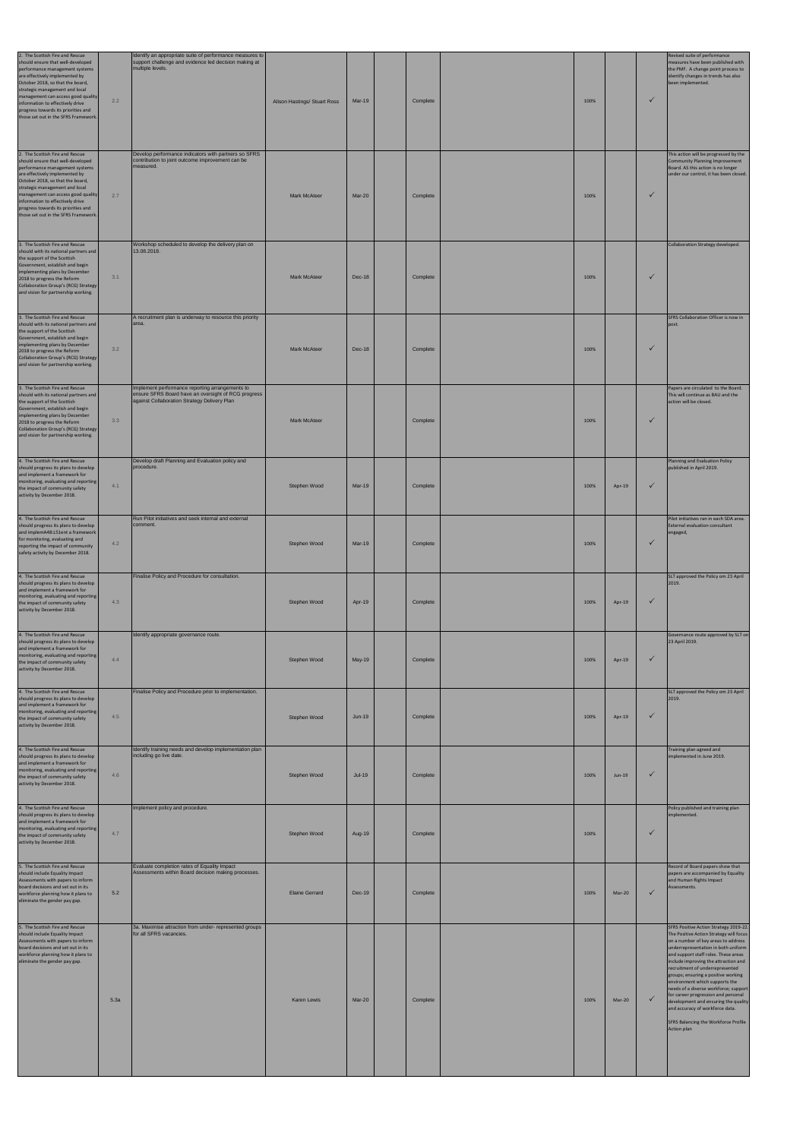| 2. The Scottish Fire and Rescue<br>hould ensure that well-developed<br>performance management systems<br>are effectively implemented by<br>October 2018, so that the board,<br>strategic management and local<br>management can access good quality<br>information to effectively drive<br>progress towards its priorities and<br>those set out in the SFRS Framework.  | 2.2  | Identify an appropriate suite of performance measures to<br>support challenge and evidence led decision making at<br>multiple levels.                  | Alison Hastings/ Stuart Ross | Mar-19        | Complete | 100% |        | $\checkmark$ | Revised suite of performance<br>measures have been published with<br>the PMF. A change point process to<br>identify changes in trends has also<br>been implemented.                                                                                                                                                                                                                                                                                                                                                                                                           |
|-------------------------------------------------------------------------------------------------------------------------------------------------------------------------------------------------------------------------------------------------------------------------------------------------------------------------------------------------------------------------|------|--------------------------------------------------------------------------------------------------------------------------------------------------------|------------------------------|---------------|----------|------|--------|--------------|-------------------------------------------------------------------------------------------------------------------------------------------------------------------------------------------------------------------------------------------------------------------------------------------------------------------------------------------------------------------------------------------------------------------------------------------------------------------------------------------------------------------------------------------------------------------------------|
| 2. The Scottish Fire and Rescue<br>should ensure that well-developed<br>performance management systems<br>are effectively implemented by<br>October 2018, so that the board,<br>strategic management and local<br>management can access good quality<br>information to effectively drive<br>progress towards its priorities and<br>those set out in the SFRS Framework. | 2.7  | Develop performance indicators with partners so SFRS<br>contribution to joint outcome improvement can be<br>measured.                                  | <b>Mark McAteer</b>          | Mar-20        | Complete | 100% |        | $\checkmark$ | This action will be progressed by the<br>Community Planning Improvement<br>Board. AS this action is no longer<br>under our control, it has been closed.                                                                                                                                                                                                                                                                                                                                                                                                                       |
| 3. The Scottish Fire and Rescue<br>should with its national partners and<br>the support of the Scottish<br>Government, establish and begin<br>implementing plans by December<br>2018 to progress the Reform<br>Collaboration Group's (RCG) Strategy<br>and vision for partnership working.                                                                              | 3.1  | Workshop scheduled to develop the delivery plan on<br>13.08.2018.                                                                                      | <b>Mark McAteer</b>          | <b>Dec-18</b> | Complete | 100% |        | $\checkmark$ | Collaboration Strategy developed.                                                                                                                                                                                                                                                                                                                                                                                                                                                                                                                                             |
| 3. The Scottish Fire and Rescue<br>should with its national partners and<br>the support of the Scottish<br>Government, establish and begin<br>implementing plans by December<br>2018 to progress the Reform<br>Collaboration Group's (RCG) Strategy<br>and vision for partnership working.                                                                              | 3.2  | A recruitment plan is underway to resource this priority<br>area.                                                                                      | <b>Mark McAteer</b>          | Dec-18        | Complete | 100% |        | $\checkmark$ | SFRS Collaboration Officer is now in<br>post.                                                                                                                                                                                                                                                                                                                                                                                                                                                                                                                                 |
| 3. The Scottish Fire and Rescue<br>should with its national partners and<br>the support of the Scottish<br>Government, establish and begin<br>implementing plans by December<br>2018 to progress the Reform<br>Collaboration Group's (RCG) Strategy<br>and vision for partnership working.                                                                              | 3.3  | Implement performance reporting arrangements to<br>ensure SFRS Board have an oversight of RCG progress<br>against Collaboration Strategy Delivery Plan | <b>Mark McAteer</b>          |               | Complete | 100% |        | $\checkmark$ | Papers are circulated to the Board.<br>This will continue as BAU and the<br>action will be closed.                                                                                                                                                                                                                                                                                                                                                                                                                                                                            |
| 4. The Scottish Fire and Rescue<br>should progress its plans to develop<br>and implement a framework for<br>monitoring, evaluating and reporting<br>the impact of community safety<br>activity by December 2018.                                                                                                                                                        | 4.1  | Develop draft Planning and Evaluation policy and<br>procedure.                                                                                         | Stephen Wood                 | <b>Mar-19</b> | Complete | 100% | Apr-19 | $\checkmark$ | Planning and Evaluation Policy<br>published in April 2019.                                                                                                                                                                                                                                                                                                                                                                                                                                                                                                                    |
| 4. The Scottish Fire and Rescue<br>should progress its plans to develop<br>and implemA48:L51ent a framework<br>for monitoring, evaluating and<br>reporting the impact of community<br>safety activity by December 2018.                                                                                                                                                 | 4.2  | Run Pilot initiatives and seek internal and external<br>comment.                                                                                       | Stephen Wood                 | <b>Mar-19</b> | Complete | 100% |        | $\checkmark$ | Pilot initiatives ran in each SDA area.<br><b>External evaluation consultant</b><br>engaged,                                                                                                                                                                                                                                                                                                                                                                                                                                                                                  |
| 4. The Scottish Fire and Rescue<br>should progress its plans to develop<br>and implement a framework for<br>monitoring, evaluating and reporting<br>the impact of community safety<br>activity by December 2018.                                                                                                                                                        | 4.3  | Finalise Policy and Procedure for consultation.                                                                                                        | Stephen Wood                 | Apr-19        | Complete | 100% | Apr-19 | $\checkmark$ | SLT approved the Policy om 23 April<br>2019.                                                                                                                                                                                                                                                                                                                                                                                                                                                                                                                                  |
| 4. The Scottish Fire and Rescue<br>should progress its plans to develop<br>and implement a framework for<br>monitoring, evaluating and reporting<br>the impact of community safety<br>activity by December 2018.                                                                                                                                                        | 4.4  | Identify appropriate governance route.                                                                                                                 | Stephen Wood                 | May-19        | Complete | 100% | Apr-19 | $\checkmark$ | Governance route approved by SLT on<br>23 April 2019.                                                                                                                                                                                                                                                                                                                                                                                                                                                                                                                         |
| 4. The Scottish Fire and Rescue<br>should progress its plans to develop<br>and implement a framework for<br>monitoring, evaluating and reporting<br>the impact of community safety<br>activity by December 2018.                                                                                                                                                        | 4.5  | Finalise Policy and Procedure prior to implementation.                                                                                                 | Stephen Wood                 | $Jun-19$      | Complete | 100% | Apr-19 | $\checkmark$ | SLT approved the Policy om 23 April<br>2019.                                                                                                                                                                                                                                                                                                                                                                                                                                                                                                                                  |
| 4. The Scottish Fire and Rescue<br>should progress its plans to develop<br>and implement a framework for<br>monitoring, evaluating and reporting<br>the impact of community safety<br>activity by December 2018.                                                                                                                                                        | 4.6  | Identify training needs and develop implementation plan<br>including go live date.                                                                     | Stephen Wood                 | $Jul-19$      | Complete | 100% | Jun-19 | $\checkmark$ | Training plan agreed and<br>implemented in June 2019.                                                                                                                                                                                                                                                                                                                                                                                                                                                                                                                         |
| 4. The Scottish Fire and Rescue<br>should progress its plans to develop<br>and implement a framework for<br>monitoring, evaluating and reporting<br>the impact of community safety<br>activity by December 2018.                                                                                                                                                        | 4.7  | Implement policy and procedure.                                                                                                                        | Stephen Wood                 | Aug-19        | Complete | 100% |        | $\checkmark$ | Policy published and training plan<br>implemented.                                                                                                                                                                                                                                                                                                                                                                                                                                                                                                                            |
| 5. The Scottish Fire and Rescue<br>should include Equality Impact<br>Assessments with papers to inform<br>board decisions and set out in its<br>workforce planning how it plans to<br>eliminate the gender pay gap.                                                                                                                                                     | 5.2  | Evaluate completion rates of Equality Impact<br>Assessments within Board decision making processes.                                                    | <b>Elaine Gerrard</b>        | Dec-19        | Complete | 100% | Mar-20 | $\checkmark$ | Record of Board papers show that<br>papers are accompanied by Equality<br>and Human Rights Impact<br>Assessments.                                                                                                                                                                                                                                                                                                                                                                                                                                                             |
| 5. The Scottish Fire and Rescue<br>should include Equality Impact<br>Assessments with papers to inform<br>board decisions and set out in its<br>workforce planning how it plans to<br>eliminate the gender pay gap.                                                                                                                                                     | 5.3a | 3a. Maximise attraction from under- represented groups<br>for all SFRS vacancies.                                                                      | <b>Karen Lewis</b>           | Mar-20        | Complete | 100% | Mar-20 | $\checkmark$ | SFRS Positive Action Strategy 2019-22.<br>The Positive Action Strategy will focus<br>on a number of key areas to address<br>underrepresentation in both uniform<br>and support staff roles. These areas<br>include improving the attraction and<br>recruitment of underrepresented<br>groups; ensuring a positive working<br>environment which supports the<br>needs of a diverse workforce; support<br>for career progression and personal<br>development and ensuring the quality<br>and accuracy of workforce data.<br>SFRS Balancing the Workforce Profile<br>Action plan |